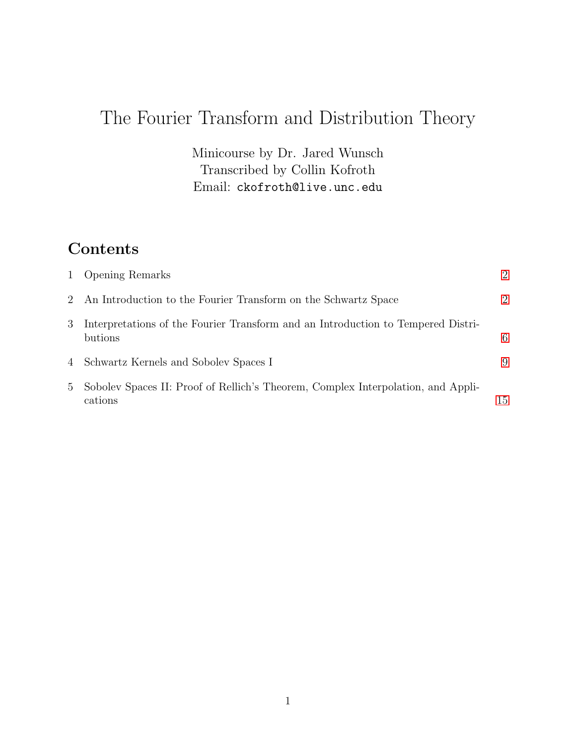# The Fourier Transform and Distribution Theory

Minicourse by Dr. Jared Wunsch Transcribed by Collin Kofroth Email: ckofroth@live.unc.edu

### Contents

| $\mathbf{1}$ | <b>Opening Remarks</b>                                                                      | $\mathcal{D}$ |
|--------------|---------------------------------------------------------------------------------------------|---------------|
|              | 2 An Introduction to the Fourier Transform on the Schwartz Space                            | $\mathcal{D}$ |
| 3            | Interpretations of the Fourier Transform and an Introduction to Tempered Distri-<br>butions | 6             |
|              | 4 Schwartz Kernels and Sobolev Spaces I                                                     | 9             |
| $5 -$        | Sobolev Spaces II: Proof of Rellich's Theorem, Complex Interpolation, and Appli-<br>cations | 15            |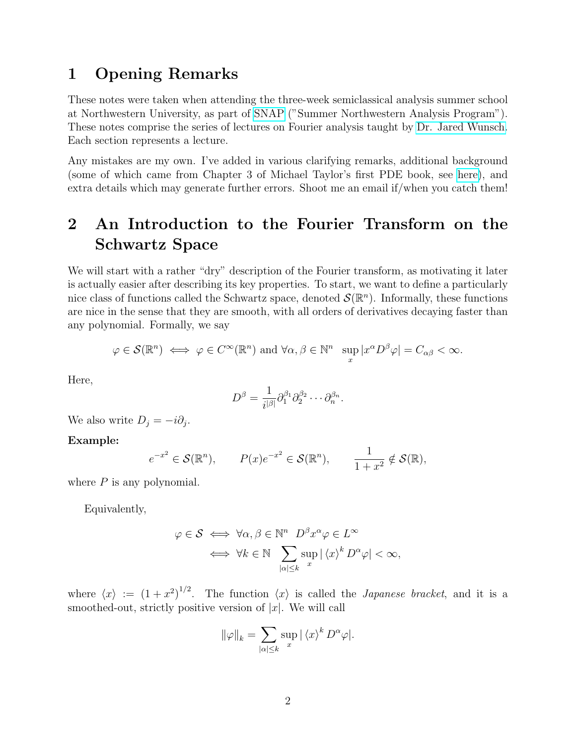### <span id="page-1-0"></span>1 Opening Remarks

These notes were taken when attending the three-week semiclassical analysis summer school at Northwestern University, as part of [SNAP](https://sites.northwestern.edu/snap2019/) ("Summer Northwestern Analysis Program"). These notes comprise the series of lectures on Fourier analysis taught by [Dr. Jared Wunsch.](https://sites.math.northwestern.edu/~jwunsch/) Each section represents a lecture.

Any mistakes are my own. I've added in various clarifying remarks, additional background (some of which came from Chapter 3 of Michael Taylor's first PDE book, see [here\)](https://mtaylor.web.unc.edu/notes/pde-course/), and extra details which may generate further errors. Shoot me an email if/when you catch them!

# <span id="page-1-1"></span>2 An Introduction to the Fourier Transform on the Schwartz Space

We will start with a rather "dry" description of the Fourier transform, as motivating it later is actually easier after describing its key properties. To start, we want to define a particularly nice class of functions called the Schwartz space, denoted  $\mathcal{S}(\mathbb{R}^n)$ . Informally, these functions are nice in the sense that they are smooth, with all orders of derivatives decaying faster than any polynomial. Formally, we say

$$
\varphi \in \mathcal{S}(\mathbb{R}^n) \iff \varphi \in C^{\infty}(\mathbb{R}^n) \text{ and } \forall \alpha, \beta \in \mathbb{N}^n \sup_x |x^{\alpha}D^{\beta}\varphi| = C_{\alpha\beta} < \infty.
$$

Here,

$$
D^{\beta} = \frac{1}{i^{|\beta|}} \partial_1^{\beta_1} \partial_2^{\beta_2} \cdots \partial_n^{\beta_n}.
$$

We also write  $D_j = -i\partial_j$ .

#### Example:

$$
e^{-x^2} \in \mathcal{S}(\mathbb{R}^n), \qquad P(x)e^{-x^2} \in \mathcal{S}(\mathbb{R}^n), \qquad \frac{1}{1+x^2} \notin \mathcal{S}(\mathbb{R}),
$$

where  $P$  is any polynomial.

Equivalently,

$$
\varphi \in \mathcal{S} \iff \forall \alpha, \beta \in \mathbb{N}^n \ D^{\beta} x^{\alpha} \varphi \in L^{\infty}
$$

$$
\iff \forall k \in \mathbb{N} \sum_{|\alpha| \leq k} \sup_{x} |\langle x \rangle^{k} D^{\alpha} \varphi| < \infty,
$$

where  $\langle x \rangle := (1 + x^2)^{1/2}$ . The function  $\langle x \rangle$  is called the *Japanese bracket*, and it is a smoothed-out, strictly positive version of  $|x|$ . We will call

$$
\|\varphi\|_{k} = \sum_{|\alpha| \leq k} \sup_{x} |\langle x \rangle^{k} D^{\alpha} \varphi|.
$$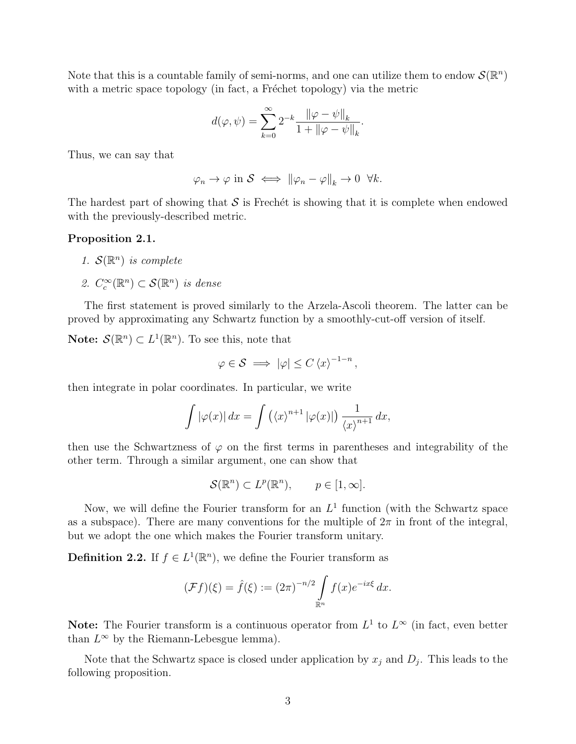Note that this is a countable family of semi-norms, and one can utilize them to endow  $\mathcal{S}(\mathbb{R}^n)$ with a metric space topology (in fact, a Fréchet topology) via the metric

$$
d(\varphi, \psi) = \sum_{k=0}^{\infty} 2^{-k} \frac{\|\varphi - \psi\|_{k}}{1 + \|\varphi - \psi\|_{k}}.
$$

Thus, we can say that

$$
\varphi_n \to \varphi \text{ in } \mathcal{S} \iff \|\varphi_n - \varphi\|_k \to 0 \ \forall k.
$$

The hardest part of showing that  $S$  is Frechét is showing that it is complete when endowed with the previously-described metric.

#### Proposition 2.1.

- 1.  $\mathcal{S}(\mathbb{R}^n)$  is complete
- 2.  $C_c^{\infty}(\mathbb{R}^n) \subset \mathcal{S}(\mathbb{R}^n)$  is dense

The first statement is proved similarly to the Arzela-Ascoli theorem. The latter can be proved by approximating any Schwartz function by a smoothly-cut-off version of itself.

**Note:**  $\mathcal{S}(\mathbb{R}^n) \subset L^1(\mathbb{R}^n)$ . To see this, note that

$$
\varphi \in \mathcal{S} \implies |\varphi| \leq C \left\langle x \right\rangle^{-1-n},
$$

then integrate in polar coordinates. In particular, we write

$$
\int |\varphi(x)| dx = \int (\langle x \rangle^{n+1} |\varphi(x)|) \frac{1}{\langle x \rangle^{n+1}} dx,
$$

then use the Schwartzness of  $\varphi$  on the first terms in parentheses and integrability of the other term. Through a similar argument, one can show that

$$
\mathcal{S}(\mathbb{R}^n) \subset L^p(\mathbb{R}^n), \qquad p \in [1, \infty].
$$

Now, we will define the Fourier transform for an  $L<sup>1</sup>$  function (with the Schwartz space as a subspace). There are many conventions for the multiple of  $2\pi$  in front of the integral, but we adopt the one which makes the Fourier transform unitary.

**Definition 2.2.** If  $f \in L^1(\mathbb{R}^n)$ , we define the Fourier transform as

$$
(\mathcal{F}f)(\xi) = \hat{f}(\xi) := (2\pi)^{-n/2} \int_{\mathbb{R}^n} f(x) e^{-ix\xi} dx.
$$

Note: The Fourier transform is a continuous operator from  $L^1$  to  $L^{\infty}$  (in fact, even better than  $L^{\infty}$  by the Riemann-Lebesgue lemma).

Note that the Schwartz space is closed under application by  $x_j$  and  $D_j$ . This leads to the following proposition.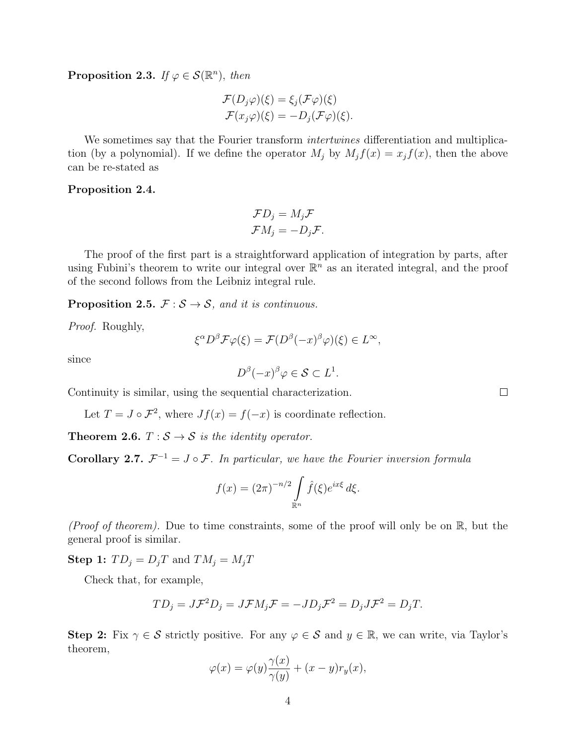**Proposition 2.3.** If  $\varphi \in \mathcal{S}(\mathbb{R}^n)$ , then

$$
\mathcal{F}(D_j \varphi)(\xi) = \xi_j(\mathcal{F}\varphi)(\xi)
$$
  

$$
\mathcal{F}(x_j \varphi)(\xi) = -D_j(\mathcal{F}\varphi)(\xi).
$$

We sometimes say that the Fourier transform *intertwines* differentiation and multiplication (by a polynomial). If we define the operator  $M_j$  by  $M_j f(x) = x_j f(x)$ , then the above can be re-stated as

#### Proposition 2.4.

$$
\mathcal{F}D_j = M_j \mathcal{F}
$$

$$
\mathcal{F}M_j = -D_j \mathcal{F}.
$$

The proof of the first part is a straightforward application of integration by parts, after using Fubini's theorem to write our integral over  $\mathbb{R}^n$  as an iterated integral, and the proof of the second follows from the Leibniz integral rule.

**Proposition 2.5.**  $\mathcal{F}: \mathcal{S} \to \mathcal{S}$ , and it is continuous.

Proof. Roughly,

$$
\xi^{\alpha}D^{\beta}\mathcal{F}\varphi(\xi) = \mathcal{F}(D^{\beta}(-x)^{\beta}\varphi)(\xi) \in L^{\infty},
$$

since

$$
D^{\beta}(-x)^{\beta}\varphi \in \mathcal{S} \subset L^1.
$$

Continuity is similar, using the sequential characterization.

Let  $T = J \circ \mathcal{F}^2$ , where  $Jf(x) = f(-x)$  is coordinate reflection.

**Theorem 2.6.**  $T : \mathcal{S} \to \mathcal{S}$  is the identity operator.

**Corollary 2.7.**  $\mathcal{F}^{-1} = J \circ \mathcal{F}$ . In particular, we have the Fourier inversion formula

$$
f(x) = (2\pi)^{-n/2} \int\limits_{\mathbb{R}^n} \hat{f}(\xi) e^{ix\xi} d\xi.
$$

(Proof of theorem). Due to time constraints, some of the proof will only be on  $\mathbb{R}$ , but the general proof is similar.

**Step 1:**  $TD_j = D_jT$  and  $TM_j = M_jT$ 

Check that, for example,

$$
TD_j = J\mathcal{F}^2 D_j = J\mathcal{F} M_j \mathcal{F} = -JD_j \mathcal{F}^2 = D_j J\mathcal{F}^2 = D_j T.
$$

Step 2: Fix  $\gamma \in \mathcal{S}$  strictly positive. For any  $\varphi \in \mathcal{S}$  and  $y \in \mathbb{R}$ , we can write, via Taylor's theorem,

$$
\varphi(x) = \varphi(y)\frac{\gamma(x)}{\gamma(y)} + (x - y)r_y(x),
$$

 $\Box$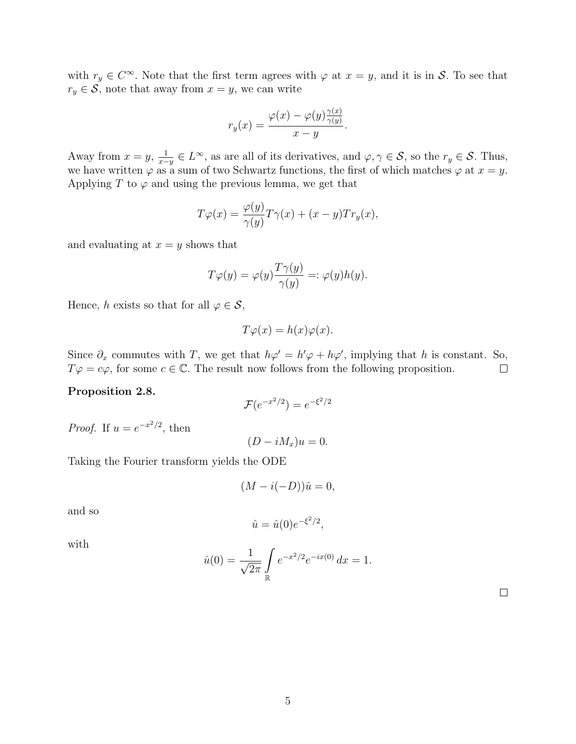with  $r_y \in C^{\infty}$ . Note that the first term agrees with  $\varphi$  at  $x = y$ , and it is in S. To see that  $r_y \in \mathcal{S}$ , note that away from  $x = y$ , we can write

$$
r_y(x) = \frac{\varphi(x) - \varphi(y)\frac{\gamma(x)}{\gamma(y)}}{x - y}.
$$

Away from  $x = y$ ,  $\frac{1}{x-y} \in L^{\infty}$ , as are all of its derivatives, and  $\varphi, \gamma \in \mathcal{S}$ , so the  $r_y \in \mathcal{S}$ . Thus, we have written  $\varphi$  as a sum of two Schwartz functions, the first of which matches  $\varphi$  at  $x = y$ . Applying T to  $\varphi$  and using the previous lemma, we get that

$$
T\varphi(x) = \frac{\varphi(y)}{\gamma(y)}T\gamma(x) + (x - y)Tr_y(x),
$$

and evaluating at  $x = y$  shows that

$$
T\varphi(y) = \varphi(y)\frac{T\gamma(y)}{\gamma(y)} =: \varphi(y)h(y).
$$

Hence, h exists so that for all  $\varphi \in \mathcal{S}$ ,

$$
T\varphi(x) = h(x)\varphi(x).
$$

Since  $\partial_x$  commutes with T, we get that  $h\varphi' = h'\varphi + h\varphi'$ , implying that h is constant. So,  $T\varphi = c\varphi$ , for some  $c \in \mathbb{C}$ . The result now follows from the following proposition.  $\Box$ 

#### Proposition 2.8.

$$
\mathcal{F}(e^{-x^2/2}) = e^{-\xi^2/2}
$$

 $(D - iM_x)u = 0.$ 

*Proof.* If  $u = e^{-x^2/2}$ , then

Taking the Fourier transform yields the ODE

$$
(M - i(-D))\hat{u} = 0,
$$

and so

$$
\hat{u} = \hat{u}(0)e^{-\xi^2/2},
$$

with

$$
\hat{u}(0) = \frac{1}{\sqrt{2\pi}} \int_{\mathbb{R}} e^{-x^2/2} e^{-ix(0)} dx = 1.
$$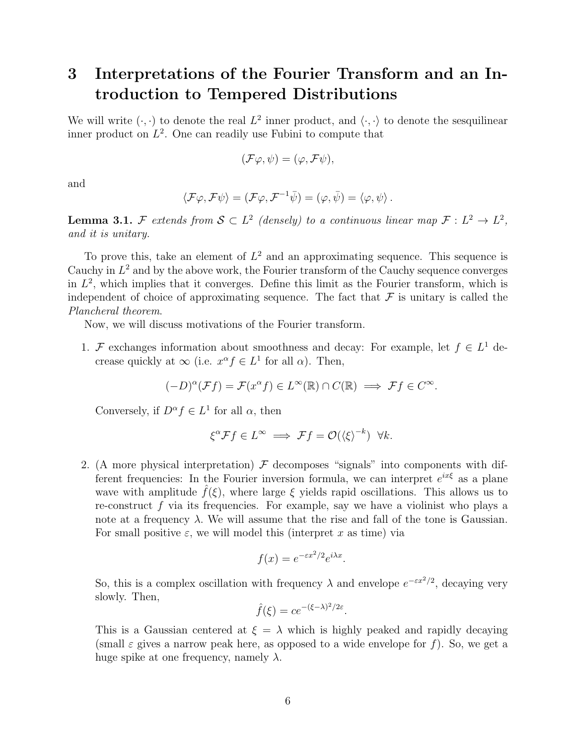### <span id="page-5-0"></span>3 Interpretations of the Fourier Transform and an Introduction to Tempered Distributions

We will write  $(\cdot, \cdot)$  to denote the real  $L^2$  inner product, and  $\langle \cdot, \cdot \rangle$  to denote the sesquilinear inner product on  $L^2$ . One can readily use Fubini to compute that

$$
(\mathcal{F}\varphi,\psi)=(\varphi,\mathcal{F}\psi),
$$

and

$$
\langle \mathcal{F}\varphi, \mathcal{F}\psi \rangle = (\mathcal{F}\varphi, \mathcal{F}^{-1}\bar{\psi}) = (\varphi, \bar{\psi}) = \langle \varphi, \psi \rangle.
$$

**Lemma 3.1.** F extends from  $S \subset L^2$  (densely) to a continuous linear map  $\mathcal{F}: L^2 \to L^2$ , and it is unitary.

To prove this, take an element of  $L^2$  and an approximating sequence. This sequence is Cauchy in  $L^2$  and by the above work, the Fourier transform of the Cauchy sequence converges in  $L^2$ , which implies that it converges. Define this limit as the Fourier transform, which is independent of choice of approximating sequence. The fact that  $\mathcal F$  is unitary is called the Plancheral theorem.

Now, we will discuss motivations of the Fourier transform.

1. F exchanges information about smoothness and decay: For example, let  $f \in L^1$  decrease quickly at  $\infty$  (i.e.  $x^{\alpha} f \in L^1$  for all  $\alpha$ ). Then,

$$
(-D)^{\alpha}(\mathcal{F}f) = \mathcal{F}(x^{\alpha}f) \in L^{\infty}(\mathbb{R}) \cap C(\mathbb{R}) \implies \mathcal{F}f \in C^{\infty}.
$$

Conversely, if  $D^{\alpha} f \in L^1$  for all  $\alpha$ , then

$$
\xi^{\alpha} \mathcal{F} f \in L^{\infty} \implies \mathcal{F} f = \mathcal{O}(\langle \xi \rangle^{-k}) \quad \forall k.
$$

2. (A more physical interpretation)  $\mathcal F$  decomposes "signals" into components with different frequencies: In the Fourier inversion formula, we can interpret  $e^{ix\xi}$  as a plane wave with amplitude  $\hat{f}(\xi)$ , where large  $\xi$  yields rapid oscillations. This allows us to re-construct  $f$  via its frequencies. For example, say we have a violinist who plays a note at a frequency  $\lambda$ . We will assume that the rise and fall of the tone is Gaussian. For small positive  $\varepsilon$ , we will model this (interpret x as time) via

$$
f(x) = e^{-\varepsilon x^2/2} e^{i\lambda x}.
$$

So, this is a complex oscillation with frequency  $\lambda$  and envelope  $e^{-\varepsilon x^2/2}$ , decaying very slowly. Then,

$$
\hat{f}(\xi) = ce^{-(\xi - \lambda)^2/2\varepsilon}.
$$

This is a Gaussian centered at  $\xi = \lambda$  which is highly peaked and rapidly decaying (small  $\varepsilon$  gives a narrow peak here, as opposed to a wide envelope for f). So, we get a huge spike at one frequency, namely  $\lambda$ .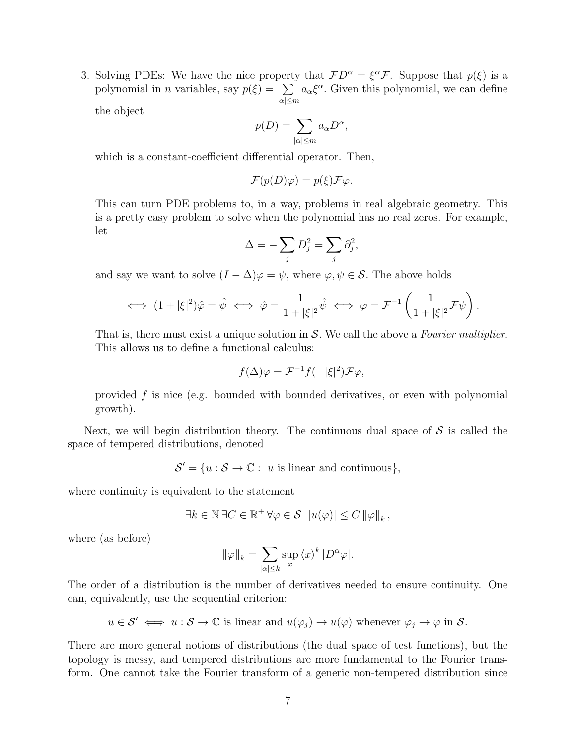3. Solving PDEs: We have the nice property that  $FD^{\alpha} = \xi^{\alpha} \mathcal{F}$ . Suppose that  $p(\xi)$  is a polynomial in *n* variables, say  $p(\xi) = \sum$  $|\alpha|\leq m$  $a_{\alpha} \xi^{\alpha}$ . Given this polynomial, we can define

the object

$$
p(D) = \sum_{|\alpha| \le m} a_{\alpha} D^{\alpha},
$$

which is a constant-coefficient differential operator. Then,

$$
\mathcal{F}(p(D)\varphi) = p(\xi)\mathcal{F}\varphi.
$$

This can turn PDE problems to, in a way, problems in real algebraic geometry. This is a pretty easy problem to solve when the polynomial has no real zeros. For example, let

$$
\Delta = -\sum_j D_j^2 = \sum_j \partial_j^2,
$$

and say we want to solve  $(I - \Delta)\varphi = \psi$ , where  $\varphi, \psi \in \mathcal{S}$ . The above holds

$$
\iff (1+|\xi|^2)\hat{\varphi} = \hat{\psi} \iff \hat{\varphi} = \frac{1}{1+|\xi|^2}\hat{\psi} \iff \varphi = \mathcal{F}^{-1}\left(\frac{1}{1+|\xi|^2}\mathcal{F}\psi\right).
$$

That is, there must exist a unique solution in  $S$ . We call the above a Fourier multiplier. This allows us to define a functional calculus:

$$
f(\Delta)\varphi = \mathcal{F}^{-1}f(-|\xi|^2)\mathcal{F}\varphi,
$$

provided  $f$  is nice (e.g. bounded with bounded derivatives, or even with polynomial growth).

Next, we will begin distribution theory. The continuous dual space of  $S$  is called the space of tempered distributions, denoted

 $\mathcal{S}' = \{u : \mathcal{S} \to \mathbb{C} : u \text{ is linear and continuous}\},\$ 

where continuity is equivalent to the statement

$$
\exists k \in \mathbb{N} \, \exists C \in \mathbb{R}^+ \, \forall \varphi \in \mathcal{S} \, |u(\varphi)| \leq C \, ||\varphi||_k \, ,
$$

where (as before)

$$
\|\varphi\|_{k}=\sum_{|\alpha|\leq k}\sup_{x}\left\langle x\right\rangle ^{k}|D^{\alpha}\varphi|.
$$

The order of a distribution is the number of derivatives needed to ensure continuity. One can, equivalently, use the sequential criterion:

 $u \in \mathcal{S}' \iff u : \mathcal{S} \to \mathbb{C}$  is linear and  $u(\varphi_i) \to u(\varphi)$  whenever  $\varphi_i \to \varphi$  in  $\mathcal{S}$ .

There are more general notions of distributions (the dual space of test functions), but the topology is messy, and tempered distributions are more fundamental to the Fourier transform. One cannot take the Fourier transform of a generic non-tempered distribution since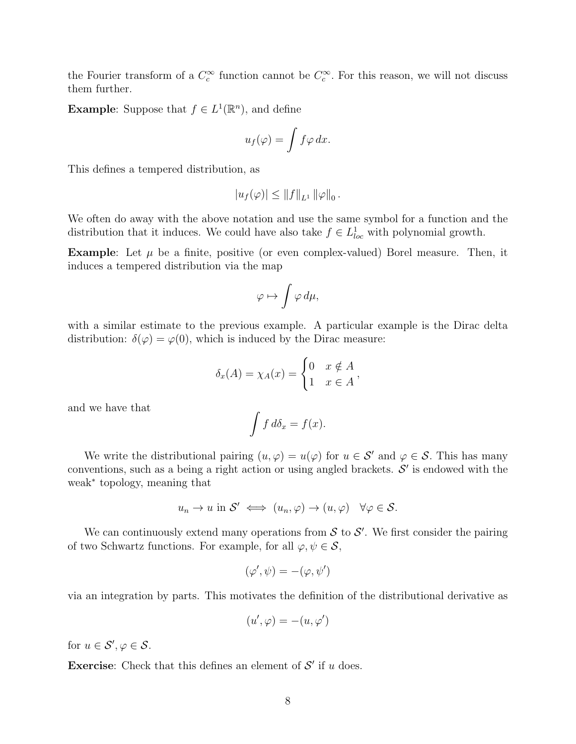the Fourier transform of a  $C_c^{\infty}$  function cannot be  $C_c^{\infty}$ . For this reason, we will not discuss them further.

**Example:** Suppose that  $f \in L^1(\mathbb{R}^n)$ , and define

$$
u_f(\varphi) = \int f \varphi \, dx.
$$

This defines a tempered distribution, as

$$
|u_f(\varphi)| \leq ||f||_{L^1} ||\varphi||_0.
$$

We often do away with the above notation and use the same symbol for a function and the distribution that it induces. We could have also take  $f \in L^{1}_{loc}$  with polynomial growth.

**Example:** Let  $\mu$  be a finite, positive (or even complex-valued) Borel measure. Then, it induces a tempered distribution via the map

$$
\varphi \mapsto \int \varphi \, d\mu,
$$

with a similar estimate to the previous example. A particular example is the Dirac delta distribution:  $\delta(\varphi) = \varphi(0)$ , which is induced by the Dirac measure:

$$
\delta_x(A) = \chi_A(x) = \begin{cases} 0 & x \notin A \\ 1 & x \in A \end{cases},
$$

and we have that

$$
\int f \, d\delta_x = f(x).
$$

We write the distributional pairing  $(u, \varphi) = u(\varphi)$  for  $u \in \mathcal{S}'$  and  $\varphi \in \mathcal{S}$ . This has many conventions, such as a being a right action or using angled brackets.  $S'$  is endowed with the weak<sup>∗</sup> topology, meaning that

$$
u_n \to u
$$
 in  $S' \iff (u_n, \varphi) \to (u, \varphi) \quad \forall \varphi \in S$ .

We can continuously extend many operations from  $S$  to  $S'$ . We first consider the pairing of two Schwartz functions. For example, for all  $\varphi, \psi \in \mathcal{S}$ ,

$$
(\varphi', \psi) = -(\varphi, \psi')
$$

via an integration by parts. This motivates the definition of the distributional derivative as

$$
(u',\varphi) = -(u,\varphi')
$$

for  $u \in \mathcal{S}', \varphi \in \mathcal{S}$ .

**Exercise:** Check that this defines an element of  $\mathcal{S}'$  if u does.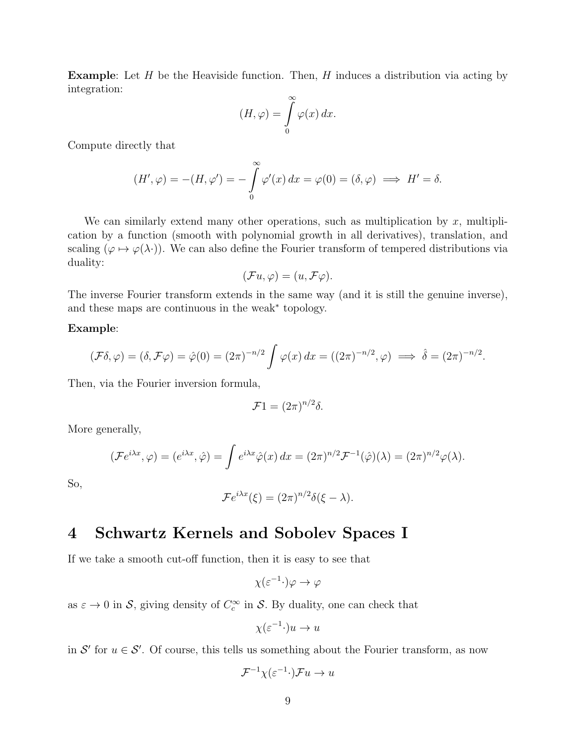**Example:** Let  $H$  be the Heaviside function. Then,  $H$  induces a distribution via acting by integration:

$$
(H,\varphi) = \int_{0}^{\infty} \varphi(x) dx.
$$

Compute directly that

$$
(H',\varphi) = -(H,\varphi') = -\int_{0}^{\infty} \varphi'(x) dx = \varphi(0) = (\delta,\varphi) \implies H' = \delta.
$$

We can similarly extend many other operations, such as multiplication by  $x$ , multiplication by a function (smooth with polynomial growth in all derivatives), translation, and scaling ( $\varphi \mapsto \varphi(\lambda)$ ). We can also define the Fourier transform of tempered distributions via duality:

$$
(\mathcal{F}u, \varphi) = (u, \mathcal{F}\varphi).
$$

The inverse Fourier transform extends in the same way (and it is still the genuine inverse), and these maps are continuous in the weak<sup>∗</sup> topology.

#### Example:

$$
(\mathcal{F}\delta,\varphi)=(\delta,\mathcal{F}\varphi)=\hat{\varphi}(0)=(2\pi)^{-n/2}\int \varphi(x)\,dx=((2\pi)^{-n/2},\varphi)\implies\hat{\delta}=(2\pi)^{-n/2}.
$$

Then, via the Fourier inversion formula,

$$
\mathcal{F}1 = (2\pi)^{n/2}\delta.
$$

More generally,

$$
(\mathcal{F}e^{i\lambda x}, \varphi) = (e^{i\lambda x}, \hat{\varphi}) = \int e^{i\lambda x} \hat{\varphi}(x) dx = (2\pi)^{n/2} \mathcal{F}^{-1}(\hat{\varphi})(\lambda) = (2\pi)^{n/2} \varphi(\lambda).
$$

So,

$$
\mathcal{F}e^{i\lambda x}(\xi) = (2\pi)^{n/2}\delta(\xi - \lambda).
$$

### <span id="page-8-0"></span>4 Schwartz Kernels and Sobolev Spaces I

If we take a smooth cut-off function, then it is easy to see that

$$
\chi(\varepsilon^{-1} \cdot) \varphi \to \varphi
$$

as  $\varepsilon \to 0$  in S, giving density of  $C_c^{\infty}$  in S. By duality, one can check that

$$
\chi(\varepsilon^{-1} \cdot)u \to u
$$

in S' for  $u \in S'$ . Of course, this tells us something about the Fourier transform, as now

$$
\mathcal{F}^{-1}\chi(\varepsilon^{-1}\cdot)\mathcal{F}u\to u
$$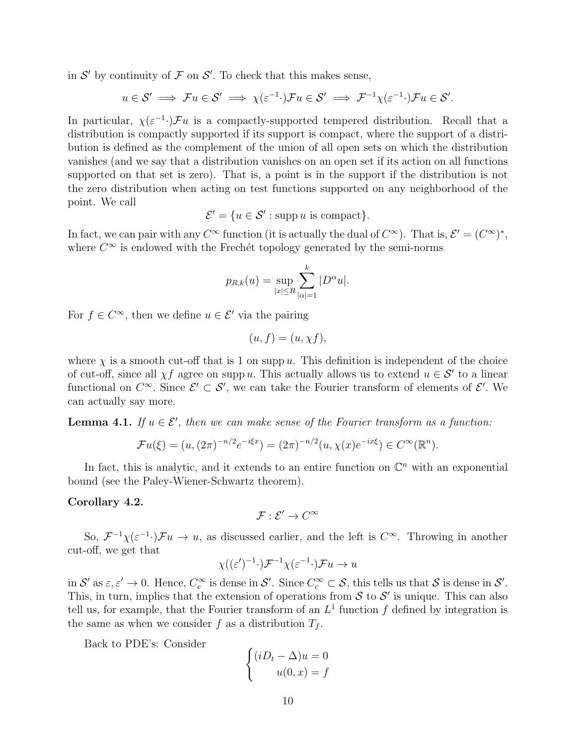in  $\mathcal{S}'$  by continuity of  $\mathcal F$  on  $\mathcal S'$ . To check that this makes sense,

$$
u \in S' \implies \mathcal{F}u \in S' \implies \chi(\varepsilon^{-1} \cdot) \mathcal{F}u \in S' \implies \mathcal{F}^{-1} \chi(\varepsilon^{-1} \cdot) \mathcal{F}u \in S'.
$$

In particular,  $\chi(\varepsilon^{-1})$  Fu is a compactly-supported tempered distribution. Recall that a distribution is compactly supported if its support is compact, where the support of a distribution is defined as the complement of the union of all open sets on which the distribution vanishes (and we say that a distribution vanishes on an open set if its action on all functions supported on that set is zero). That is, a point is in the support if the distribution is not the zero distribution when acting on test functions supported on any neighborhood of the point. We call

$$
\mathcal{E}' = \{ u \in \mathcal{S}' : \text{supp } u \text{ is compact} \}.
$$

In fact, we can pair with any  $C^{\infty}$  function (it is actually the dual of  $C^{\infty}$ ). That is,  $\mathcal{E}' = (C^{\infty})^*$ , where  $C^{\infty}$  is endowed with the Frechét topology generated by the semi-norms

$$
p_{R,k}(u) = \sup_{|x| \le R} \sum_{|\alpha|=1}^{k} |D^{\alpha}u|.
$$

For  $f \in C^{\infty}$ , then we define  $u \in \mathcal{E}'$  via the pairing

$$
(u,f)=(u,\chi f),
$$

where  $\chi$  is a smooth cut-off that is 1 on supp u. This definition is independent of the choice of cut-off, since all  $\chi f$  agree on supp u. This actually allows us to extend  $u \in \mathcal{S}'$  to a linear functional on  $C^{\infty}$ . Since  $\mathcal{E}' \subset \mathcal{S}'$ , we can take the Fourier transform of elements of  $\mathcal{E}'$ . We can actually say more.

**Lemma 4.1.** If  $u \in \mathcal{E}'$ , then we can make sense of the Fourier transform as a function:

$$
\mathcal{F}u(\xi) = (u, (2\pi)^{-n/2}e^{-i\xi x}) = (2\pi)^{-n/2}(u, \chi(x)e^{-ix\xi}) \in C^{\infty}(\mathbb{R}^n).
$$

In fact, this is analytic, and it extends to an entire function on  $\mathbb{C}^n$  with an exponential bound (see the Paley-Wiener-Schwartz theorem).

#### Corollary 4.2.

 $\mathcal{F}: \mathcal{E}' \to C^\infty$ 

So,  $\mathcal{F}^{-1}\chi(\varepsilon^{-1})\mathcal{F}u \to u$ , as discussed earlier, and the left is  $C^{\infty}$ . Throwing in another cut-off, we get that

$$
\chi((\varepsilon')^{-1} \cdot) \mathcal{F}^{-1} \chi(\varepsilon^{-1} \cdot) \mathcal{F} u \to u
$$

in  $S'$  as  $\varepsilon, \varepsilon' \to 0$ . Hence,  $C_c^{\infty}$  is dense in  $S'$ . Since  $C_c^{\infty} \subset S$ , this tells us that S is dense in  $S'$ . This, in turn, implies that the extension of operations from  $S$  to  $S'$  is unique. This can also tell us, for example, that the Fourier transform of an  $L<sup>1</sup>$  function f defined by integration is the same as when we consider f as a distribution  $T_f$ .

Back to PDE's: Consider

$$
\begin{cases} (iD_t - \Delta)u = 0\\ u(0, x) = f \end{cases}
$$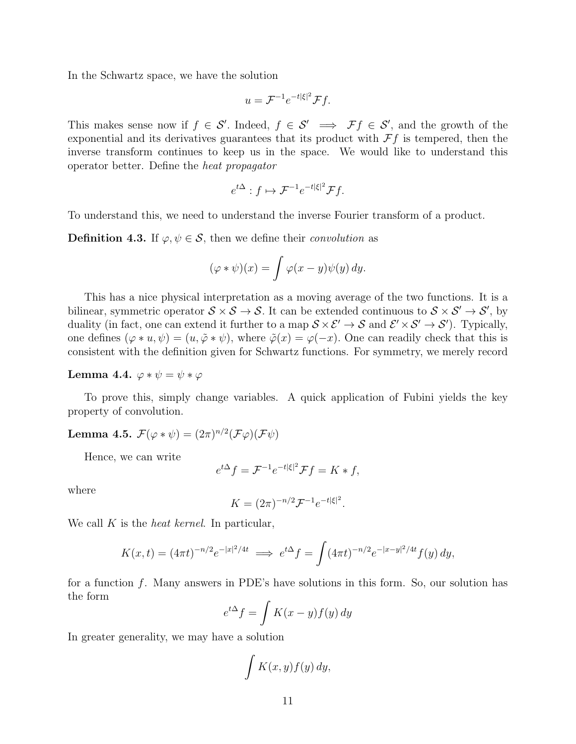In the Schwartz space, we have the solution

$$
u = \mathcal{F}^{-1}e^{-t|\xi|^2}\mathcal{F}f.
$$

This makes sense now if  $f \in S'$ . Indeed,  $f \in S' \implies \mathcal{F}f \in S'$ , and the growth of the exponential and its derivatives guarantees that its product with  $\mathcal{F}f$  is tempered, then the inverse transform continues to keep us in the space. We would like to understand this operator better. Define the heat propagator

$$
e^{t\Delta}: f \mapsto \mathcal{F}^{-1}e^{-t|\xi|^2}\mathcal{F}f.
$$

To understand this, we need to understand the inverse Fourier transform of a product.

**Definition 4.3.** If  $\varphi, \psi \in \mathcal{S}$ , then we define their *convolution* as

$$
(\varphi * \psi)(x) = \int \varphi(x - y)\psi(y) \, dy.
$$

This has a nice physical interpretation as a moving average of the two functions. It is a bilinear, symmetric operator  $S \times S \to S$ . It can be extended continuous to  $S \times S' \to S'$ , by duality (in fact, one can extend it further to a map  $S \times \mathcal{E}' \to S$  and  $\mathcal{E}' \times \mathcal{S}' \to \mathcal{S}'$ ). Typically, one defines  $(\varphi * u, \psi) = (u, \tilde{\varphi} * \psi)$ , where  $\tilde{\varphi}(x) = \varphi(-x)$ . One can readily check that this is consistent with the definition given for Schwartz functions. For symmetry, we merely record

#### Lemma 4.4.  $\varphi * \psi = \psi * \varphi$

To prove this, simply change variables. A quick application of Fubini yields the key property of convolution.

Lemma 4.5.  $\mathcal{F}(\varphi * \psi) = (2\pi)^{n/2} (\mathcal{F}\varphi) (\mathcal{F}\psi)$ 

Hence, we can write

$$
e^{t\Delta}f = \mathcal{F}^{-1}e^{-t|\xi|^2}\mathcal{F}f = K * f,
$$

where

$$
K = (2\pi)^{-n/2} \mathcal{F}^{-1} e^{-t|\xi|^2}.
$$

We call  $K$  is the *heat kernel*. In particular,

$$
K(x,t) = (4\pi t)^{-n/2} e^{-|x|^2/4t} \implies e^{t\Delta} f = \int (4\pi t)^{-n/2} e^{-|x-y|^2/4t} f(y) dy,
$$

for a function f. Many answers in PDE's have solutions in this form. So, our solution has the form

$$
e^{t\Delta}f = \int K(x - y)f(y) \, dy
$$

In greater generality, we may have a solution

$$
\int K(x,y)f(y) \, dy,
$$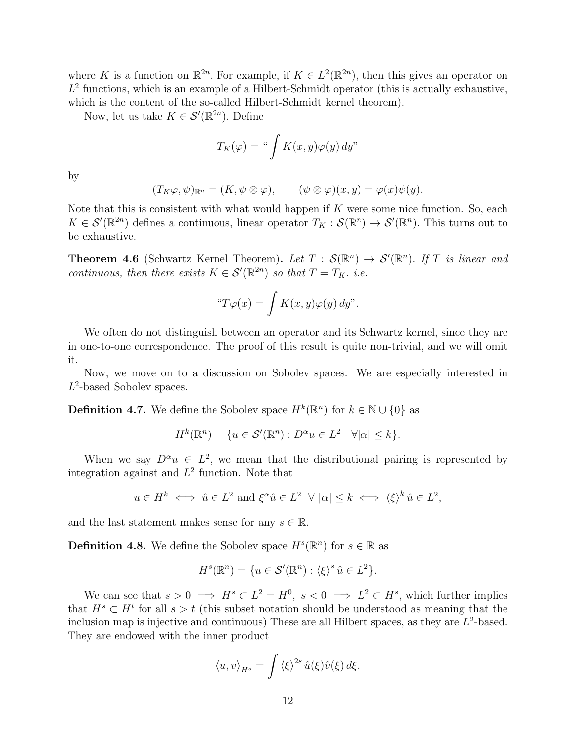where K is a function on  $\mathbb{R}^{2n}$ . For example, if  $K \in L^2(\mathbb{R}^{2n})$ , then this gives an operator on  $L^2$  functions, which is an example of a Hilbert-Schmidt operator (this is actually exhaustive, which is the content of the so-called Hilbert-Schmidt kernel theorem).

Now, let us take  $K \in \mathcal{S}'(\mathbb{R}^{2n})$ . Define

$$
T_K(\varphi) = \sqrt[u]{K(x, y)\varphi(y)}\,dy"
$$

by

$$
(T_K\varphi,\psi)_{\mathbb{R}^n}=(K,\psi\otimes\varphi),\qquad(\psi\otimes\varphi)(x,y)=\varphi(x)\psi(y).
$$

Note that this is consistent with what would happen if  $K$  were some nice function. So, each  $K \in \mathcal{S}'(\mathbb{R}^{2n})$  defines a continuous, linear operator  $T_K : \mathcal{S}(\mathbb{R}^n) \to \mathcal{S}'(\mathbb{R}^n)$ . This turns out to be exhaustive.

**Theorem 4.6** (Schwartz Kernel Theorem). Let  $T : \mathcal{S}(\mathbb{R}^n) \to \mathcal{S}'(\mathbb{R}^n)$ . If T is linear and continuous, then there exists  $K \in \mathcal{S}'(\mathbb{R}^{2n})$  so that  $T = T_K$ . i.e.

$$
``T\varphi(x) = \int K(x, y)\varphi(y) \, dy".
$$

We often do not distinguish between an operator and its Schwartz kernel, since they are in one-to-one correspondence. The proof of this result is quite non-trivial, and we will omit it.

Now, we move on to a discussion on Sobolev spaces. We are especially interested in  $L^2$ -based Sobolev spaces.

**Definition 4.7.** We define the Sobolev space  $H^k(\mathbb{R}^n)$  for  $k \in \mathbb{N} \cup \{0\}$  as

$$
H^k(\mathbb{R}^n) = \{ u \in \mathcal{S}'(\mathbb{R}^n) : D^{\alpha} u \in L^2 \quad \forall |\alpha| \le k \}.
$$

When we say  $D^{\alpha}u \in L^2$ , we mean that the distributional pairing is represented by integration against and  $L^2$  function. Note that

$$
u \in H^k \iff \hat{u} \in L^2 \text{ and } \xi^{\alpha} \hat{u} \in L^2 \quad \forall \ |\alpha| \leq k \iff \langle \xi \rangle^k \hat{u} \in L^2,
$$

and the last statement makes sense for any  $s \in \mathbb{R}$ .

**Definition 4.8.** We define the Sobolev space  $H^s(\mathbb{R}^n)$  for  $s \in \mathbb{R}$  as

$$
H^{s}(\mathbb{R}^{n}) = \{ u \in \mathcal{S}'(\mathbb{R}^{n}) : \langle \xi \rangle^{s} \hat{u} \in L^{2} \}.
$$

We can see that  $s > 0 \implies H^s \subset L^2 = H^0$ ,  $s < 0 \implies L^2 \subset H^s$ , which further implies that  $H^s \subset H^t$  for all  $s > t$  (this subset notation should be understood as meaning that the inclusion map is injective and continuous) These are all Hilbert spaces, as they are  $L^2$ -based. They are endowed with the inner product

$$
\langle u, v \rangle_{H^s} = \int \langle \xi \rangle^{2s} \hat{u}(\xi) \overline{\hat{v}}(\xi) d\xi.
$$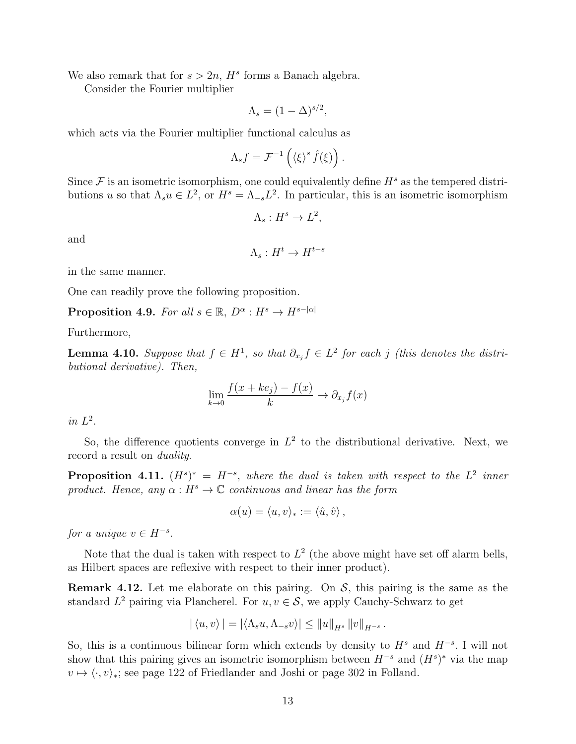We also remark that for  $s > 2n$ ,  $H<sup>s</sup>$  forms a Banach algebra.

Consider the Fourier multiplier

$$
\Lambda_s = (1 - \Delta)^{s/2},
$$

which acts via the Fourier multiplier functional calculus as

$$
\Lambda_s f = \mathcal{F}^{-1}\left(\langle \xi \rangle^s \hat{f}(\xi)\right).
$$

Since  $\mathcal F$  is an isometric isomorphism, one could equivalently define  $H^s$  as the tempered distributions u so that  $\Lambda_s u \in L^2$ , or  $H^s = \Lambda_{-s} L^2$ . In particular, this is an isometric isomorphism

$$
\Lambda_s: H^s \to L^2,
$$

and

$$
\Lambda_s: H^t \to H^{t-s}
$$

in the same manner.

One can readily prove the following proposition.

**Proposition 4.9.** For all  $s \in \mathbb{R}$ ,  $D^{\alpha}: H^s \to H^{s-|\alpha|}$ 

Furthermore,

**Lemma 4.10.** Suppose that  $f \in H^1$ , so that  $\partial_{x_j} f \in L^2$  for each j (this denotes the distributional derivative). Then,

$$
\lim_{k \to 0} \frac{f(x + ke_j) - f(x)}{k} \to \partial_{x_j} f(x)
$$

in  $L^2$ .

So, the difference quotients converge in  $L^2$  to the distributional derivative. Next, we record a result on *duality*.

**Proposition 4.11.**  $(H^s)^* = H^{-s}$ , where the dual is taken with respect to the  $L^2$  inner product. Hence, any  $\alpha : H^s \to \mathbb{C}$  continuous and linear has the form

$$
\alpha(u) = \langle u, v \rangle_* := \langle \hat{u}, \hat{v} \rangle \, ,
$$

for a unique  $v \in H^{-s}$ .

Note that the dual is taken with respect to  $L^2$  (the above might have set off alarm bells, as Hilbert spaces are reflexive with respect to their inner product).

**Remark 4.12.** Let me elaborate on this pairing. On  $S$ , this pairing is the same as the standard  $L^2$  pairing via Plancherel. For  $u, v \in \mathcal{S}$ , we apply Cauchy-Schwarz to get

$$
|\langle u,v\rangle| = |\langle \Lambda_s u, \Lambda_{-s} v\rangle| \le ||u||_{H^s} ||v||_{H^{-s}}.
$$

So, this is a continuous bilinear form which extends by density to  $H^s$  and  $H^{-s}$ . I will not show that this pairing gives an isometric isomorphism between  $H^{-s}$  and  $(H^{s})^*$  via the map  $v \mapsto \langle \cdot, v \rangle_*$ ; see page 122 of Friedlander and Joshi or page 302 in Folland.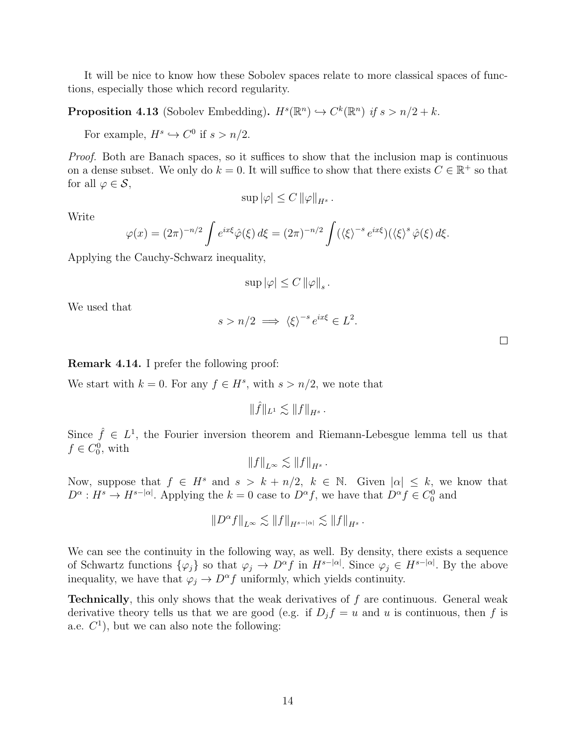It will be nice to know how these Sobolev spaces relate to more classical spaces of functions, especially those which record regularity.

**Proposition 4.13** (Sobolev Embedding).  $H^s(\mathbb{R}^n) \hookrightarrow C^k(\mathbb{R}^n)$  if  $s > n/2 + k$ .

For example,  $H^s \hookrightarrow C^0$  if  $s > n/2$ .

Proof. Both are Banach spaces, so it suffices to show that the inclusion map is continuous on a dense subset. We only do  $k = 0$ . It will suffice to show that there exists  $C \in \mathbb{R}^+$  so that for all  $\varphi \in \mathcal{S}$ ,

$$
\sup |\varphi| \leq C \, \|\varphi\|_{H^s} \, .
$$

Write

$$
\varphi(x) = (2\pi)^{-n/2} \int e^{ix\xi} \hat{\varphi}(\xi) d\xi = (2\pi)^{-n/2} \int (\langle \xi \rangle^{-s} e^{ix\xi}) (\langle \xi \rangle^{s} \hat{\varphi}(\xi) d\xi.
$$

Applying the Cauchy-Schwarz inequality,

$$
\sup |\varphi| \leq C \left\|\varphi\right\|_s.
$$

We used that

$$
s > n/2 \implies \langle \xi \rangle^{-s} e^{ix\xi} \in L^2.
$$

 $\Box$ 

Remark 4.14. I prefer the following proof:

We start with  $k = 0$ . For any  $f \in H^s$ , with  $s > n/2$ , we note that

 $\|\hat{f}\|_{L^1} \lesssim \|f\|_{H^s}$ .

Since  $\hat{f} \in L^1$ , the Fourier inversion theorem and Riemann-Lebesgue lemma tell us that  $f \in C_0^0$ , with

$$
||f||_{L^{\infty}} \lesssim ||f||_{H^{s}}.
$$

Now, suppose that  $f \in H^s$  and  $s > k + n/2$ ,  $k \in \mathbb{N}$ . Given  $|\alpha| \leq k$ , we know that  $D^{\alpha}: H^s \to H^{s-|\alpha|}$ . Applying the  $k=0$  case to  $D^{\alpha} f$ , we have that  $D^{\alpha} f \in C_0^0$  and

$$
\|D^\alpha f\|_{L^\infty} \lesssim \|f\|_{H^{s-|\alpha|}} \lesssim \|f\|_{H^s}\,.
$$

We can see the continuity in the following way, as well. By density, there exists a sequence of Schwartz functions  $\{\varphi_j\}$  so that  $\varphi_j \to D^{\alpha} f$  in  $H^{s-|\alpha|}$ . Since  $\varphi_j \in H^{s-|\alpha|}$ . By the above inequality, we have that  $\varphi_j \to D^\alpha f$  uniformly, which yields continuity.

**Technically**, this only shows that the weak derivatives of  $f$  are continuous. General weak derivative theory tells us that we are good (e.g. if  $D_j f = u$  and u is continuous, then f is a.e.  $C^1$ ), but we can also note the following: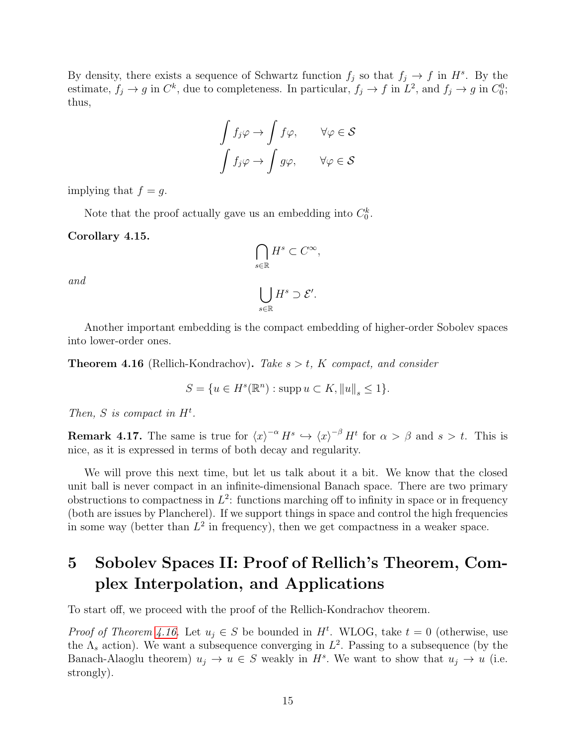By density, there exists a sequence of Schwartz function  $f_j$  so that  $f_j \to f$  in  $H^s$ . By the estimate,  $f_j \to g$  in  $C^k$ , due to completeness. In particular,  $f_j \to f$  in  $L^2$ , and  $f_j \to g$  in  $C_0^0$ ; thus,

$$
\int f_j \varphi \to \int f \varphi, \qquad \forall \varphi \in \mathcal{S}
$$

$$
\int f_j \varphi \to \int g \varphi, \qquad \forall \varphi \in \mathcal{S}
$$

implying that  $f = g$ .

Note that the proof actually gave us an embedding into  $C_0^k$ .

Corollary 4.15.

$$
\bigcap_{s\in\mathbb{R}} H^s \subset C^\infty,
$$
  

$$
\bigcup_{s\in\mathbb{R}} H^s \supset \mathcal{E}'.
$$

and

Another important embedding is the compact embedding of higher-order Sobolev spaces into lower-order ones.

<span id="page-14-1"></span>**Theorem 4.16** (Rellich-Kondrachov). Take  $s > t$ , K compact, and consider

$$
S = \{ u \in H^s(\mathbb{R}^n) : \operatorname{supp} u \subset K, ||u||_s \le 1 \}.
$$

Then, S is compact in  $H^t$ .

**Remark 4.17.** The same is true for  $\langle x \rangle^{-\alpha} H^s \hookrightarrow \langle x \rangle^{-\beta} H^t$  for  $\alpha > \beta$  and  $s > t$ . This is nice, as it is expressed in terms of both decay and regularity.

We will prove this next time, but let us talk about it a bit. We know that the closed unit ball is never compact in an infinite-dimensional Banach space. There are two primary obstructions to compactness in  $L^2$ : functions marching off to infinity in space or in frequency (both are issues by Plancherel). If we support things in space and control the high frequencies in some way (better than  $L^2$  in frequency), then we get compactness in a weaker space.

# <span id="page-14-0"></span>5 Sobolev Spaces II: Proof of Rellich's Theorem, Complex Interpolation, and Applications

To start off, we proceed with the proof of the Rellich-Kondrachov theorem.

*Proof of Theorem [4.16.](#page-14-1)* Let  $u_j \in S$  be bounded in  $H^t$ . WLOG, take  $t = 0$  (otherwise, use the  $\Lambda_s$  action). We want a subsequence converging in  $L^2$ . Passing to a subsequence (by the Banach-Alaoglu theorem)  $u_j \to u \in S$  weakly in  $H^s$ . We want to show that  $u_j \to u$  (i.e. strongly).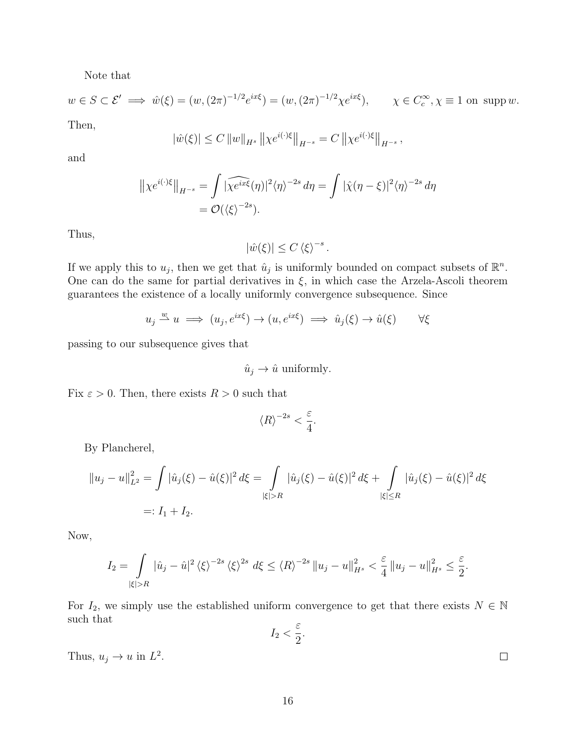Note that

$$
w \in S \subset \mathcal{E}' \implies \hat{w}(\xi) = (w, (2\pi)^{-1/2} e^{ix\xi}) = (w, (2\pi)^{-1/2} \chi e^{ix\xi}), \qquad \chi \in C_c^{\infty}, \chi \equiv 1 \text{ on } \text{supp } w.
$$

Then,

$$
|\hat{w}(\xi)| \le C ||w||_{H^s} ||\chi e^{i(\cdot)\xi}||_{H^{-s}} = C ||\chi e^{i(\cdot)\xi}||_{H^{-s}},
$$

and

$$
\|\chi e^{i(\cdot)\xi}\|_{H^{-s}} = \int |\widehat{\chi e^{ix\xi}}(\eta)|^2 \langle \eta \rangle^{-2s} d\eta = \int |\widehat{\chi}(\eta - \xi)|^2 \langle \eta \rangle^{-2s} d\eta
$$
  
=  $\mathcal{O}(\langle \xi \rangle^{-2s}).$ 

Thus,

 $|\hat{w}(\xi)| \leq C \langle \xi \rangle^{-s}.$ 

If we apply this to  $u_j$ , then we get that  $\hat{u}_j$  is uniformly bounded on compact subsets of  $\mathbb{R}^n$ . One can do the same for partial derivatives in  $\xi$ , in which case the Arzela-Ascoli theorem guarantees the existence of a locally uniformly convergence subsequence. Since

$$
u_j \xrightarrow{w} u \implies (u_j, e^{ix\xi}) \to (u, e^{ix\xi}) \implies \hat{u}_j(\xi) \to \hat{u}(\xi) \qquad \forall \xi
$$

passing to our subsequence gives that

$$
\hat{u}_j \to \hat{u} \text{ uniformly.}
$$

Fix  $\varepsilon > 0$ . Then, there exists  $R > 0$  such that

$$
\langle R\rangle^{-2s} < \frac{\varepsilon}{4}.
$$

By Plancherel,

$$
||u_j - u||_{L^2}^2 = \int |\hat{u}_j(\xi) - \hat{u}(\xi)|^2 d\xi = \int_{|\xi| > R} |\hat{u}_j(\xi) - \hat{u}(\xi)|^2 d\xi + \int_{|\xi| \le R} |\hat{u}_j(\xi) - \hat{u}(\xi)|^2 d\xi
$$
  
=:  $I_1 + I_2$ .

Now,

$$
I_2 = \int\limits_{|\xi|>R} |\hat{u}_j - \hat{u}|^2 \left\langle \xi \right\rangle^{-2s} \left\langle \xi \right\rangle^{2s} d\xi \le \left\langle R \right\rangle^{-2s} \|u_j - u\|_{H^s}^2 < \frac{\varepsilon}{4} \|u_j - u\|_{H^s}^2 \le \frac{\varepsilon}{2}.
$$

For  $I_2$ , we simply use the established uniform convergence to get that there exists  $N \in \mathbb{N}$ such that

$$
I_2 < \frac{\varepsilon}{2}.
$$

Thus,  $u_j \to u$  in  $L^2$ .

 $\Box$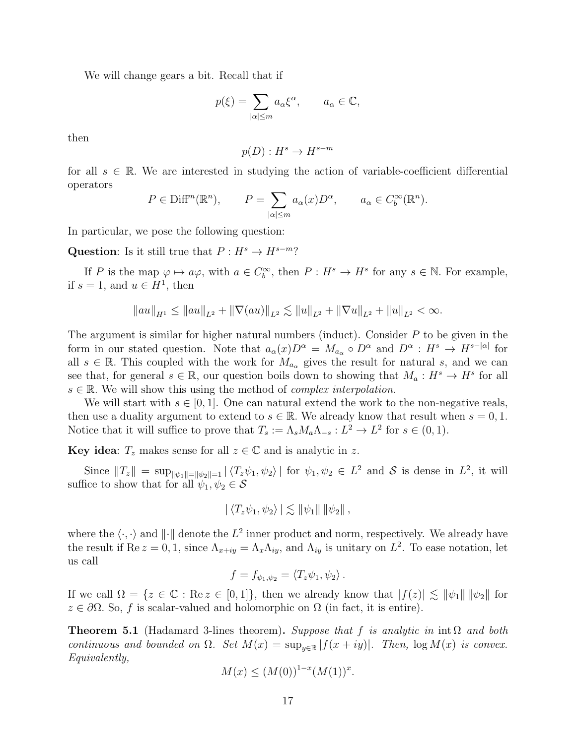We will change gears a bit. Recall that if

$$
p(\xi) = \sum_{|\alpha| \le m} a_{\alpha} \xi^{\alpha}, \qquad a_{\alpha} \in \mathbb{C},
$$

then

$$
p(D): H^s \to H^{s-m}
$$

for all  $s \in \mathbb{R}$ . We are interested in studying the action of variable-coefficient differential operators

$$
P \in \text{Diff}^m(\mathbb{R}^n), \qquad P = \sum_{|\alpha| \le m} a_{\alpha}(x) D^{\alpha}, \qquad a_{\alpha} \in C_b^{\infty}(\mathbb{R}^n).
$$

In particular, we pose the following question:

Question: Is it still true that  $P : H^s \to H^{s-m}$ ?

If P is the map  $\varphi \mapsto a\varphi$ , with  $a \in C_b^{\infty}$ , then  $P: H^s \to H^s$  for any  $s \in \mathbb{N}$ . For example, if  $s = 1$ , and  $u \in H^1$ , then

$$
||au||_{H^1}\leq ||au||_{L^2}+\|\nabla(au)\|_{L^2}\lesssim ||u||_{L^2}+\|\nabla u\|_{L^2}+\|u\|_{L^2}<\infty.
$$

The argument is similar for higher natural numbers (induct). Consider  $P$  to be given in the form in our stated question. Note that  $a_{\alpha}(x)D^{\alpha} = M_{a_{\alpha}} \circ D^{\alpha}$  and  $D^{\alpha} : H^{s} \to H^{s-|\alpha|}$  for all  $s \in \mathbb{R}$ . This coupled with the work for  $M_{a_{\alpha}}$  gives the result for natural s, and we can see that, for general  $s \in \mathbb{R}$ , our question boils down to showing that  $M_a: H^s \to H^s$  for all  $s \in \mathbb{R}$ . We will show this using the method of *complex interpolation*.

We will start with  $s \in [0, 1]$ . One can natural extend the work to the non-negative reals, then use a duality argument to extend to  $s \in \mathbb{R}$ . We already know that result when  $s = 0, 1$ . Notice that it will suffice to prove that  $T_s := \Lambda_s M_a \Lambda_{-s} : L^2 \to L^2$  for  $s \in (0,1)$ .

Key idea:  $T_z$  makes sense for all  $z \in \mathbb{C}$  and is analytic in z.

Since  $||T_z|| = \sup_{||\psi_1||=||\psi_2||=1} |\langle T_z\psi_1, \psi_2\rangle|$  for  $\psi_1, \psi_2 \in L^2$  and S is dense in  $L^2$ , it will suffice to show that for all  $\psi_1, \psi_2 \in \mathcal{S}$ 

$$
|\langle T_z\psi_1,\psi_2\rangle| \lesssim \|\psi_1\| \|\psi_2\|,
$$

where the  $\langle \cdot, \cdot \rangle$  and  $\| \cdot \|$  denote the  $L^2$  inner product and norm, respectively. We already have the result if  $\text{Re } z = 0, 1$ , since  $\Lambda_{x+iy} = \Lambda_x \Lambda_{iy}$ , and  $\Lambda_{iy}$  is unitary on  $L^2$ . To ease notation, let us call

$$
f = f_{\psi_1, \psi_2} = \langle T_z \psi_1, \psi_2 \rangle.
$$

If we call  $\Omega = \{z \in \mathbb{C} : \text{Re } z \in [0,1]\},\$  then we already know that  $|f(z)| \lesssim ||\psi_1|| ||\psi_2||$  for  $z \in \partial \Omega$ . So, f is scalar-valued and holomorphic on  $\Omega$  (in fact, it is entire).

<span id="page-16-0"></span>**Theorem 5.1** (Hadamard 3-lines theorem). Suppose that f is analytic in  $\text{int } \Omega$  and both continuous and bounded on  $\Omega$ . Set  $M(x) = \sup_{y \in \mathbb{R}} |f(x+iy)|$ . Then,  $\log M(x)$  is convex. Equivalently,

$$
M(x) \le (M(0))^{1-x} (M(1))^x.
$$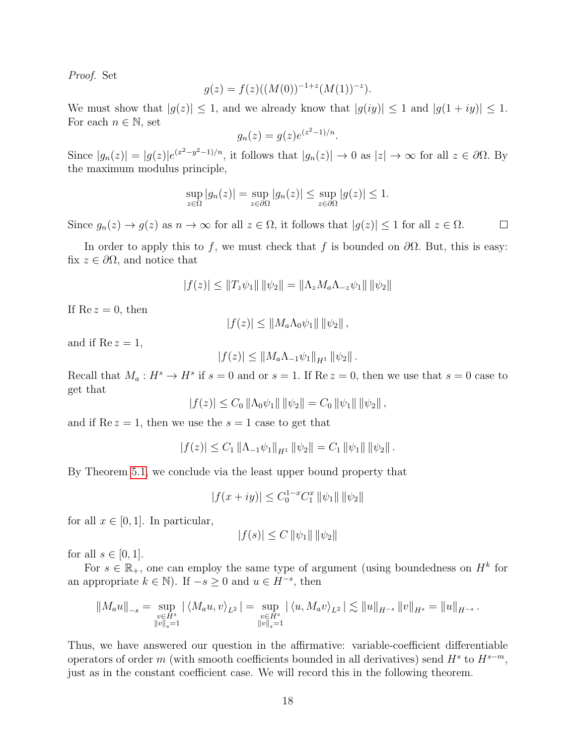Proof. Set

$$
g(z) = f(z)((M(0))^{-1+z}(M(1))^{-z}).
$$

We must show that  $|g(z)| \leq 1$ , and we already know that  $|g(iy)| \leq 1$  and  $|g(1+iy)| \leq 1$ . For each  $n \in \mathbb{N}$ , set

$$
g_n(z) = g(z)e^{(z^2 - 1)/n}
$$

.

Since  $|g_n(z)| = |g(z)|e^{(x^2-y^2-1)/n}$ , it follows that  $|g_n(z)| \to 0$  as  $|z| \to \infty$  for all  $z \in \partial\Omega$ . By the maximum modulus principle,

$$
\sup_{z \in \Omega} |g_n(z)| = \sup_{z \in \partial\Omega} |g_n(z)| \le \sup_{z \in \partial\Omega} |g(z)| \le 1.
$$

Since  $g_n(z) \to g(z)$  as  $n \to \infty$  for all  $z \in \Omega$ , it follows that  $|g(z)| \leq 1$  for all  $z \in \Omega$ .  $\Box$ 

In order to apply this to f, we must check that f is bounded on  $\partial\Omega$ . But, this is easy: fix  $z \in \partial \Omega$ , and notice that

$$
|f(z)| \le ||T_z \psi_1|| \, ||\psi_2|| = ||\Lambda_z M_a \Lambda_{-z} \psi_1|| \, ||\psi_2||
$$

If  $\text{Re } z = 0$ , then

$$
|f(z)| \leq ||M_a \Lambda_0 \psi_1|| \, ||\psi_2|| \, ,
$$

and if  $\text{Re } z = 1$ ,

$$
|f(z)| \leq ||M_a \Lambda_{-1} \psi_1||_{H^1} ||\psi_2||.
$$

Recall that  $M_a: H^s \to H^s$  if  $s = 0$  and or  $s = 1$ . If Re  $z = 0$ , then we use that  $s = 0$  case to get that

$$
|f(z)| \leq C_0 \|\Lambda_0 \psi_1\| \|\psi_2\| = C_0 \|\psi_1\| \|\psi_2\|,
$$

and if  $\text{Re } z = 1$ , then we use the  $s = 1$  case to get that

$$
|f(z)| \leq C_1 \|\Lambda_{-1}\psi_1\|_{H^1} \|\psi_2\| = C_1 \|\psi_1\| \|\psi_2\|.
$$

By Theorem [5.1,](#page-16-0) we conclude via the least upper bound property that

$$
|f(x+iy)| \leq C_0^{1-x} C_1^x \, ||\psi_1|| \, ||\psi_2||
$$

for all  $x \in [0,1]$ . In particular,

$$
|f(s)| \le C ||\psi_1|| ||\psi_2||
$$

for all  $s \in [0,1]$ .

For  $s \in \mathbb{R}_+$ , one can employ the same type of argument (using boundedness on  $H^k$  for an appropriate  $k \in \mathbb{N}$ ). If  $-s \geq 0$  and  $u \in H^{-s}$ , then

$$
||M_a u||_{-s} = \sup_{\substack{v \in H^s \\ ||v||_s = 1}} |\langle M_a u, v \rangle_{L^2}| = \sup_{\substack{v \in H^s \\ ||v||_s = 1}} |\langle u, M_a v \rangle_{L^2}| \lesssim ||u||_{H^{-s}} ||v||_{H^s} = ||u||_{H^{-s}}.
$$

Thus, we have answered our question in the affirmative: variable-coefficient differentiable operators of order m (with smooth coefficients bounded in all derivatives) send  $H^s$  to  $H^{s-m}$ , just as in the constant coefficient case. We will record this in the following theorem.